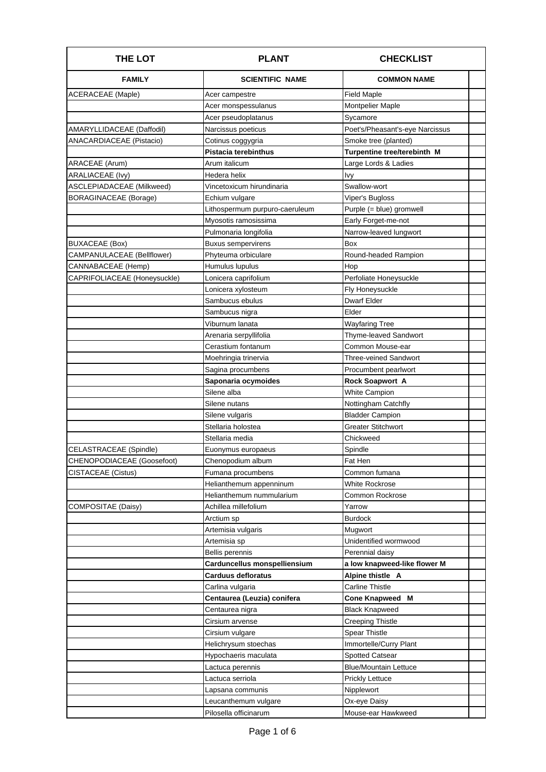| <b>THE LOT</b>               | <b>PLANT</b>                   | <b>CHECKLIST</b>                |
|------------------------------|--------------------------------|---------------------------------|
| <b>FAMILY</b>                | <b>SCIENTIFIC NAME</b>         | <b>COMMON NAME</b>              |
| <b>ACERACEAE</b> (Maple)     | Acer campestre                 | <b>Field Maple</b>              |
|                              | Acer monspessulanus            | Montpelier Maple                |
|                              | Acer pseudoplatanus            | Sycamore                        |
| AMARYLLIDACEAE (Daffodil)    | Narcissus poeticus             | Poet's/Pheasant's-eye Narcissus |
| ANACARDIACEAE (Pistacio)     | Cotinus coggygria              | Smoke tree (planted)            |
|                              | Pistacia terebinthus           | Turpentine tree/terebinth M     |
| ARACEAE (Arum)               | Arum italicum                  | Large Lords & Ladies            |
| ARALIACEAE (Ivy)             | Hedera helix                   | lvy                             |
| ASCLEPIADACEAE (Milkweed)    | Vincetoxicum hirundinaria      | Swallow-wort                    |
| <b>BORAGINACEAE</b> (Borage) | Echium vulgare                 | Viper's Bugloss                 |
|                              | Lithospermum purpuro-caeruleum | Purple (= blue) gromwell        |
|                              | Myosotis ramosissima           | Early Forget-me-not             |
|                              | Pulmonaria longifolia          | Narrow-leaved lungwort          |
| BUXACEAE (Box)               | <b>Buxus sempervirens</b>      | Box                             |
| CAMPANULACEAE (Bellflower)   | Phyteuma orbiculare            | Round-headed Rampion            |
| CANNABACEAE (Hemp)           | Humulus lupulus                | Hop                             |
| CAPRIFOLIACEAE (Honeysuckle) | Lonicera caprifolium           | Perfoliate Honeysuckle          |
|                              | Lonicera xylosteum             | Fly Honeysuckle                 |
|                              | Sambucus ebulus                | Dwarf Elder                     |
|                              | Sambucus nigra                 | Elder                           |
|                              | Viburnum lanata                | Wayfaring Tree                  |
|                              | Arenaria serpyllifolia         | Thyme-leaved Sandwort           |
|                              | Cerastium fontanum             | Common Mouse-ear                |
|                              | Moehringia trinervia           | Three-veined Sandwort           |
|                              | Sagina procumbens              | Procumbent pearlwort            |
|                              | Saponaria ocymoides            | <b>Rock Soapwort A</b>          |
|                              | Silene alba                    | <b>White Campion</b>            |
|                              | Silene nutans                  | Nottingham Catchfly             |
|                              | Silene vulgaris                | <b>Bladder Campion</b>          |
|                              | Stellaria holostea             | <b>Greater Stitchwort</b>       |
|                              | Stellaria media                | Chickweed                       |
| CELASTRACEAE (Spindle)       | Euonymus europaeus             | Spindle                         |
| CHENOPODIACEAE (Goosefoot)   | Chenopodium album              | Fat Hen                         |
| CISTACEAE (Cistus)           | Fumana procumbens              | Common fumana                   |
|                              | Helianthemum appenninum        | White Rockrose                  |
|                              | Helianthemum nummularium       | Common Rockrose                 |
| COMPOSITAE (Daisy)           | Achillea millefolium           | Yarrow                          |
|                              | Arctium sp                     | Burdock                         |
|                              | Artemisia vulgaris             | Mugwort                         |
|                              | Artemisia sp                   | Unidentified wormwood           |
|                              | Bellis perennis                | Perennial daisy                 |
|                              | Carduncellus monspelliensium   | a low knapweed-like flower M    |
|                              | Carduus defloratus             | Alpine thistle A                |
|                              | Carlina vulgaria               | Carline Thistle                 |
|                              | Centaurea (Leuzia) conifera    | Cone Knapweed M                 |
|                              | Centaurea nigra                | <b>Black Knapweed</b>           |
|                              | Cirsium arvense                | <b>Creeping Thistle</b>         |
|                              | Cirsium vulgare                | <b>Spear Thistle</b>            |
|                              | Helichrysum stoechas           | Immortelle/Curry Plant          |
|                              | Hypochaeris maculata           | <b>Spotted Catsear</b>          |
|                              | Lactuca perennis               | <b>Blue/Mountain Lettuce</b>    |
|                              | Lactuca serriola               | <b>Prickly Lettuce</b>          |
|                              | Lapsana communis               | Nipplewort                      |
|                              | Leucanthemum vulgare           | Ox-eye Daisy                    |
|                              | Pilosella officinarum          | Mouse-ear Hawkweed              |
|                              |                                |                                 |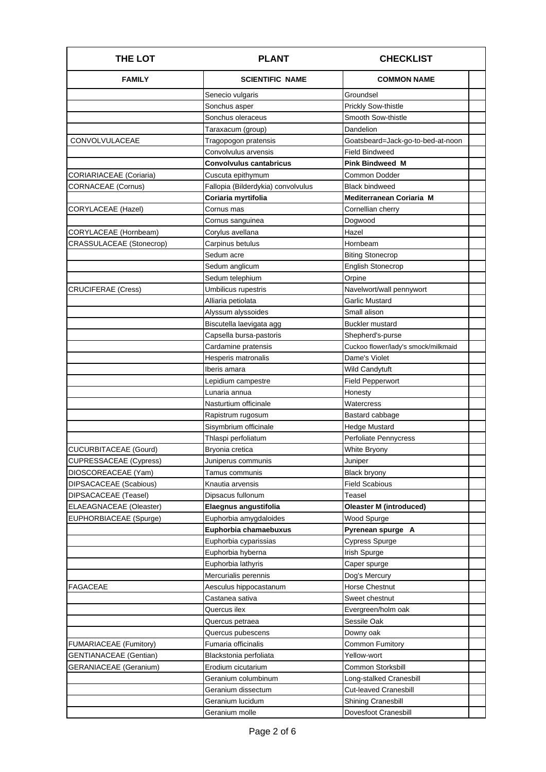| <b>THE LOT</b>                 | <b>PLANT</b>                       | <b>CHECKLIST</b>                    |
|--------------------------------|------------------------------------|-------------------------------------|
| <b>FAMILY</b>                  | <b>SCIENTIFIC NAME</b>             | <b>COMMON NAME</b>                  |
|                                | Senecio vulgaris                   | Groundsel                           |
|                                | Sonchus asper                      | <b>Prickly Sow-thistle</b>          |
|                                | Sonchus oleraceus                  | Smooth Sow-thistle                  |
|                                | Taraxacum (group)                  | Dandelion                           |
| CONVOLVULACEAE                 | Tragopogon pratensis               | Goatsbeard=Jack-go-to-bed-at-noon   |
|                                | Convolvulus arvensis               | <b>Field Bindweed</b>               |
|                                | <b>Convolvulus cantabricus</b>     | <b>Pink Bindweed M</b>              |
| CORIARIACEAE (Coriaria)        | Cuscuta epithymum                  | Common Dodder                       |
| <b>CORNACEAE</b> (Cornus)      | Fallopia (Bilderdykia) convolvulus | <b>Black bindweed</b>               |
|                                | Coriaria myrtifolia                | Mediterranean Coriaria M            |
| CORYLACEAE (Hazel)             | Cornus mas                         | Cornellian cherry                   |
|                                | Cornus sanguinea                   | Dogwood                             |
| CORYLACEAE (Hornbeam)          | Corylus avellana                   | Hazel                               |
| CRASSULACEAE (Stonecrop)       | Carpinus betulus                   | Hornbeam                            |
|                                | Sedum acre                         | <b>Biting Stonecrop</b>             |
|                                | Sedum anglicum                     | <b>English Stonecrop</b>            |
|                                | Sedum telephium                    | Orpine                              |
| <b>CRUCIFERAE (Cress)</b>      | Umbilicus rupestris                | Navelwort/wall pennywort            |
|                                | Alliaria petiolata                 | <b>Garlic Mustard</b>               |
|                                | Alyssum alyssoides                 | Small alison                        |
|                                | Biscutella laevigata agg           | <b>Buckler mustard</b>              |
|                                | Capsella bursa-pastoris            | Shepherd's-purse                    |
|                                | Cardamine pratensis                | Cuckoo flower/lady's smock/milkmaid |
|                                | Hesperis matronalis                | Dame's Violet                       |
|                                | Iberis amara                       | <b>Wild Candytuft</b>               |
|                                | Lepidium campestre                 | <b>Field Pepperwort</b>             |
|                                | Lunaria annua                      | Honesty                             |
|                                | Nasturtium officinale              | Watercress                          |
|                                | Rapistrum rugosum                  | Bastard cabbage                     |
|                                | Sisymbrium officinale              | <b>Hedge Mustard</b>                |
|                                | Thlaspi perfoliatum                | Perfoliate Pennycress               |
| CUCURBITACEAE (Gourd)          | Bryonia cretica                    | White Bryony                        |
| CUPRESSACEAE (Cypress)         | Juniperus communis                 | Juniper                             |
| DIOSCOREACEAE (Yam)            | Tamus communis                     | <b>Black bryony</b>                 |
| DIPSACACEAE (Scabious)         | Knautia arvensis                   | <b>Field Scabious</b>               |
| DIPSACACEAE (Teasel)           | Dipsacus fullonum                  | Teasel                              |
| <b>ELAEAGNACEAE</b> (Oleaster) | Elaegnus angustifolia              | Oleaster M (introduced)             |
| EUPHORBIACEAE (Spurge)         | Euphorbia amygdaloides             | Wood Spurge                         |
|                                | Euphorbia chamaebuxus              | Pyrenean spurge A                   |
|                                | Euphorbia cyparissias              | <b>Cypress Spurge</b>               |
|                                | Euphorbia hyberna                  | Irish Spurge                        |
|                                | Euphorbia lathyris                 | Caper spurge                        |
|                                | Mercurialis perennis               | Dog's Mercury                       |
| <b>FAGACEAE</b>                | Aesculus hippocastanum             | Horse Chestnut                      |
|                                | Castanea sativa                    | Sweet chestnut                      |
|                                | Quercus ilex                       | Evergreen/holm oak                  |
|                                | Quercus petraea                    | Sessile Oak                         |
|                                | Quercus pubescens                  | Downy oak                           |
| FUMARIACEAE (Fumitory)         | Fumaria officinalis                | Common Fumitory                     |
| <b>GENTIANACEAE</b> (Gentian)  | Blackstonia perfoliata             | Yellow-wort                         |
| GERANIACEAE (Geranium)         | Erodium cicutarium                 | Common Storksbill                   |
|                                | Geranium columbinum                | Long-stalked Cranesbill             |
|                                | Geranium dissectum                 | <b>Cut-leaved Cranesbill</b>        |
|                                | Geranium lucidum                   | <b>Shining Cranesbill</b>           |
|                                | Geranium molle                     | <b>Dovesfoot Cranesbill</b>         |
|                                |                                    |                                     |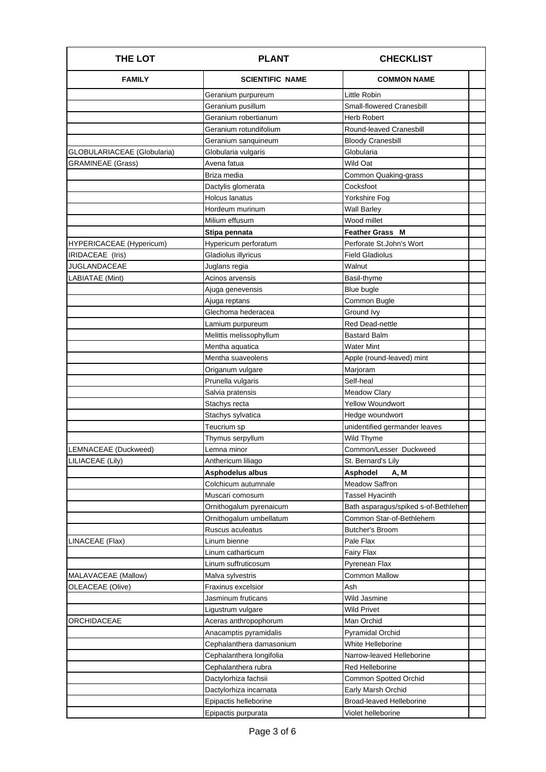| <b>FAMILY</b><br><b>SCIENTIFIC NAME</b><br><b>COMMON NAME</b><br>Little Robin<br>Geranium purpureum<br>Geranium pusillum<br>Small-flowered Cranesbill<br>Geranium robertianum<br><b>Herb Robert</b><br>Geranium rotundifolium<br>Round-leaved Cranesbill<br>Geranium sanguineum<br>Bloody Cranesbill<br>GLOBULARIACEAE (Globularia)<br>Globularia<br>Globularia vulgaris<br>Wild Oat<br><b>GRAMINEAE</b> (Grass)<br>Avena fatua<br>Briza media<br>Common Quaking-grass<br>Cocksfoot<br>Dactylis glomerata |
|-----------------------------------------------------------------------------------------------------------------------------------------------------------------------------------------------------------------------------------------------------------------------------------------------------------------------------------------------------------------------------------------------------------------------------------------------------------------------------------------------------------|
|                                                                                                                                                                                                                                                                                                                                                                                                                                                                                                           |
|                                                                                                                                                                                                                                                                                                                                                                                                                                                                                                           |
|                                                                                                                                                                                                                                                                                                                                                                                                                                                                                                           |
|                                                                                                                                                                                                                                                                                                                                                                                                                                                                                                           |
|                                                                                                                                                                                                                                                                                                                                                                                                                                                                                                           |
|                                                                                                                                                                                                                                                                                                                                                                                                                                                                                                           |
|                                                                                                                                                                                                                                                                                                                                                                                                                                                                                                           |
|                                                                                                                                                                                                                                                                                                                                                                                                                                                                                                           |
|                                                                                                                                                                                                                                                                                                                                                                                                                                                                                                           |
|                                                                                                                                                                                                                                                                                                                                                                                                                                                                                                           |
| <b>Holcus lanatus</b><br>Yorkshire Fog                                                                                                                                                                                                                                                                                                                                                                                                                                                                    |
| Hordeum murinum<br><b>Wall Barley</b>                                                                                                                                                                                                                                                                                                                                                                                                                                                                     |
| Milium effusum<br>Wood millet                                                                                                                                                                                                                                                                                                                                                                                                                                                                             |
| Stipa pennata<br><b>Feather Grass M</b>                                                                                                                                                                                                                                                                                                                                                                                                                                                                   |
| Perforate St.John's Wort<br>Hypericum perforatum<br>HYPERICACEAE (Hypericum)                                                                                                                                                                                                                                                                                                                                                                                                                              |
| Gladiolus illyricus<br>IRIDACEAE (Iris)<br><b>Field Gladiolus</b>                                                                                                                                                                                                                                                                                                                                                                                                                                         |
| <b>JUGLANDACEAE</b><br>Walnut<br>Juglans regia                                                                                                                                                                                                                                                                                                                                                                                                                                                            |
| LABIATAE (Mint)<br>Acinos arvensis<br>Basil-thyme                                                                                                                                                                                                                                                                                                                                                                                                                                                         |
| Blue bugle<br>Ajuga genevensis                                                                                                                                                                                                                                                                                                                                                                                                                                                                            |
| Common Bugle<br>Ajuga reptans                                                                                                                                                                                                                                                                                                                                                                                                                                                                             |
| Glechoma hederacea<br>Ground Ivy                                                                                                                                                                                                                                                                                                                                                                                                                                                                          |
| Red Dead-nettle<br>Lamium purpureum                                                                                                                                                                                                                                                                                                                                                                                                                                                                       |
| Melittis melissophyllum<br>Bastard Balm                                                                                                                                                                                                                                                                                                                                                                                                                                                                   |
| Mentha aquatica<br><b>Water Mint</b>                                                                                                                                                                                                                                                                                                                                                                                                                                                                      |
| Mentha suaveolens<br>Apple (round-leaved) mint                                                                                                                                                                                                                                                                                                                                                                                                                                                            |
| Marjoram<br>Origanum vulgare                                                                                                                                                                                                                                                                                                                                                                                                                                                                              |
| Prunella vulgaris<br>Self-heal                                                                                                                                                                                                                                                                                                                                                                                                                                                                            |
| Salvia pratensis<br><b>Meadow Clary</b>                                                                                                                                                                                                                                                                                                                                                                                                                                                                   |
| <b>Yellow Woundwort</b><br>Stachys recta                                                                                                                                                                                                                                                                                                                                                                                                                                                                  |
| Hedge woundwort<br>Stachys sylvatica                                                                                                                                                                                                                                                                                                                                                                                                                                                                      |
| Teucrium sp<br>unidentified germander leaves                                                                                                                                                                                                                                                                                                                                                                                                                                                              |
| Wild Thyme<br>Thymus serpyllum                                                                                                                                                                                                                                                                                                                                                                                                                                                                            |
| Common/Lesser Duckweed<br>LEMNACEAE (Duckweed)<br>Lemna minor                                                                                                                                                                                                                                                                                                                                                                                                                                             |
| St. Bernard's Lily<br>LILIACEAE (Lily)<br>Anthericum liliago                                                                                                                                                                                                                                                                                                                                                                                                                                              |
| Asphodelus albus<br>Asphodel<br>A, M                                                                                                                                                                                                                                                                                                                                                                                                                                                                      |
| Colchicum autumnale<br>Meadow Saffron                                                                                                                                                                                                                                                                                                                                                                                                                                                                     |
| <b>Tassel Hyacinth</b><br>Muscari comosum                                                                                                                                                                                                                                                                                                                                                                                                                                                                 |
| Bath asparagus/spiked s-of-Bethlehem<br>Ornithogalum pyrenaicum                                                                                                                                                                                                                                                                                                                                                                                                                                           |
| Common Star-of-Bethlehem<br>Ornithogalum umbellatum                                                                                                                                                                                                                                                                                                                                                                                                                                                       |
| Ruscus aculeatus<br>Butcher's Broom                                                                                                                                                                                                                                                                                                                                                                                                                                                                       |
| LINACEAE (Flax)<br>Linum bienne<br>Pale Flax                                                                                                                                                                                                                                                                                                                                                                                                                                                              |
| Linum catharticum<br>Fairy Flax                                                                                                                                                                                                                                                                                                                                                                                                                                                                           |
| Pyrenean Flax<br>Linum suffruticosum                                                                                                                                                                                                                                                                                                                                                                                                                                                                      |
| MALAVACEAE (Mallow)<br>Common Mallow<br>Malva sylvestris                                                                                                                                                                                                                                                                                                                                                                                                                                                  |
| OLEACEAE (Olive)<br>Fraxinus excelsior<br>Ash                                                                                                                                                                                                                                                                                                                                                                                                                                                             |
| Jasminum fruticans<br>Wild Jasmine                                                                                                                                                                                                                                                                                                                                                                                                                                                                        |
| Wild Privet<br>Ligustrum vulgare                                                                                                                                                                                                                                                                                                                                                                                                                                                                          |
| <b>ORCHIDACEAE</b><br>Aceras anthropophorum<br>Man Orchid                                                                                                                                                                                                                                                                                                                                                                                                                                                 |
| Anacamptis pyramidalis<br>Pyramidal Orchid                                                                                                                                                                                                                                                                                                                                                                                                                                                                |
| Cephalanthera damasonium<br>White Helleborine                                                                                                                                                                                                                                                                                                                                                                                                                                                             |
| Cephalanthera longifolia<br>Narrow-leaved Helleborine                                                                                                                                                                                                                                                                                                                                                                                                                                                     |
| Red Helleborine<br>Cephalanthera rubra                                                                                                                                                                                                                                                                                                                                                                                                                                                                    |
| Common Spotted Orchid<br>Dactylorhiza fachsii                                                                                                                                                                                                                                                                                                                                                                                                                                                             |
| Early Marsh Orchid<br>Dactylorhiza incarnata                                                                                                                                                                                                                                                                                                                                                                                                                                                              |
| Epipactis helleborine<br>Broad-leaved Helleborine                                                                                                                                                                                                                                                                                                                                                                                                                                                         |
| Epipactis purpurata<br>Violet helleborine                                                                                                                                                                                                                                                                                                                                                                                                                                                                 |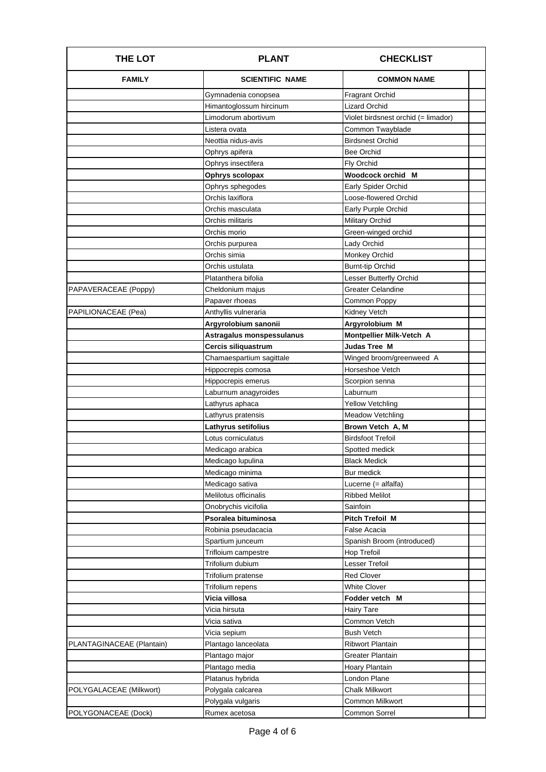| <b>FAMILY</b><br><b>SCIENTIFIC NAME</b><br><b>COMMON NAME</b><br><b>Fragrant Orchid</b><br>Gymnadenia conopsea<br><b>Lizard Orchid</b><br>Himantoglossum hircinum<br>Limodorum abortivum<br>Violet birdsnest orchid (= limador)<br>Common Twayblade<br>Listera ovata<br><b>Birdsnest Orchid</b><br>Neottia nidus-avis<br>Ophrys apifera<br><b>Bee Orchid</b><br>Ophrys insectifera<br>Fly Orchid<br>Woodcock orchid M<br>Ophrys scolopax<br>Ophrys sphegodes<br><b>Early Spider Orchid</b><br>Orchis laxiflora<br>Loose-flowered Orchid<br>Orchis masculata<br>Early Purple Orchid<br>Military Orchid<br>Orchis militaris<br>Green-winged orchid<br>Orchis morio<br>Orchis purpurea<br>Lady Orchid<br>Orchis simia<br>Monkey Orchid |  |
|-------------------------------------------------------------------------------------------------------------------------------------------------------------------------------------------------------------------------------------------------------------------------------------------------------------------------------------------------------------------------------------------------------------------------------------------------------------------------------------------------------------------------------------------------------------------------------------------------------------------------------------------------------------------------------------------------------------------------------------|--|
|                                                                                                                                                                                                                                                                                                                                                                                                                                                                                                                                                                                                                                                                                                                                     |  |
|                                                                                                                                                                                                                                                                                                                                                                                                                                                                                                                                                                                                                                                                                                                                     |  |
|                                                                                                                                                                                                                                                                                                                                                                                                                                                                                                                                                                                                                                                                                                                                     |  |
|                                                                                                                                                                                                                                                                                                                                                                                                                                                                                                                                                                                                                                                                                                                                     |  |
|                                                                                                                                                                                                                                                                                                                                                                                                                                                                                                                                                                                                                                                                                                                                     |  |
|                                                                                                                                                                                                                                                                                                                                                                                                                                                                                                                                                                                                                                                                                                                                     |  |
|                                                                                                                                                                                                                                                                                                                                                                                                                                                                                                                                                                                                                                                                                                                                     |  |
|                                                                                                                                                                                                                                                                                                                                                                                                                                                                                                                                                                                                                                                                                                                                     |  |
|                                                                                                                                                                                                                                                                                                                                                                                                                                                                                                                                                                                                                                                                                                                                     |  |
|                                                                                                                                                                                                                                                                                                                                                                                                                                                                                                                                                                                                                                                                                                                                     |  |
|                                                                                                                                                                                                                                                                                                                                                                                                                                                                                                                                                                                                                                                                                                                                     |  |
|                                                                                                                                                                                                                                                                                                                                                                                                                                                                                                                                                                                                                                                                                                                                     |  |
|                                                                                                                                                                                                                                                                                                                                                                                                                                                                                                                                                                                                                                                                                                                                     |  |
|                                                                                                                                                                                                                                                                                                                                                                                                                                                                                                                                                                                                                                                                                                                                     |  |
|                                                                                                                                                                                                                                                                                                                                                                                                                                                                                                                                                                                                                                                                                                                                     |  |
|                                                                                                                                                                                                                                                                                                                                                                                                                                                                                                                                                                                                                                                                                                                                     |  |
| <b>Burnt-tip Orchid</b><br>Orchis ustulata                                                                                                                                                                                                                                                                                                                                                                                                                                                                                                                                                                                                                                                                                          |  |
| Lesser Butterfly Orchid<br>Platanthera bifolia                                                                                                                                                                                                                                                                                                                                                                                                                                                                                                                                                                                                                                                                                      |  |
| Greater Celandine<br>PAPAVERACEAE (Poppy)<br>Cheldonium majus                                                                                                                                                                                                                                                                                                                                                                                                                                                                                                                                                                                                                                                                       |  |
| Common Poppy<br>Papaver rhoeas                                                                                                                                                                                                                                                                                                                                                                                                                                                                                                                                                                                                                                                                                                      |  |
| Kidney Vetch<br>PAPILIONACEAE (Pea)<br>Anthyllis vulneraria                                                                                                                                                                                                                                                                                                                                                                                                                                                                                                                                                                                                                                                                         |  |
| Argyrolobium sanonii<br>Argyrolobium M                                                                                                                                                                                                                                                                                                                                                                                                                                                                                                                                                                                                                                                                                              |  |
| Montpellier Milk-Vetch A<br>Astragalus monspessulanus                                                                                                                                                                                                                                                                                                                                                                                                                                                                                                                                                                                                                                                                               |  |
| Cercis siliquastrum<br><b>Judas Tree M</b>                                                                                                                                                                                                                                                                                                                                                                                                                                                                                                                                                                                                                                                                                          |  |
| Chamaespartium sagittale<br>Winged broom/greenweed A                                                                                                                                                                                                                                                                                                                                                                                                                                                                                                                                                                                                                                                                                |  |
| Horseshoe Vetch<br>Hippocrepis comosa                                                                                                                                                                                                                                                                                                                                                                                                                                                                                                                                                                                                                                                                                               |  |
| Hippocrepis emerus<br>Scorpion senna                                                                                                                                                                                                                                                                                                                                                                                                                                                                                                                                                                                                                                                                                                |  |
| Laburnum anagyroides<br>Laburnum                                                                                                                                                                                                                                                                                                                                                                                                                                                                                                                                                                                                                                                                                                    |  |
| <b>Yellow Vetchling</b><br>Lathyrus aphaca                                                                                                                                                                                                                                                                                                                                                                                                                                                                                                                                                                                                                                                                                          |  |
| Lathyrus pratensis<br>Meadow Vetchling                                                                                                                                                                                                                                                                                                                                                                                                                                                                                                                                                                                                                                                                                              |  |
| Lathyrus setifolius<br>Brown Vetch A, M                                                                                                                                                                                                                                                                                                                                                                                                                                                                                                                                                                                                                                                                                             |  |
| Lotus corniculatus<br><b>Birdsfoot Trefoil</b>                                                                                                                                                                                                                                                                                                                                                                                                                                                                                                                                                                                                                                                                                      |  |
| Medicago arabica<br>Spotted medick                                                                                                                                                                                                                                                                                                                                                                                                                                                                                                                                                                                                                                                                                                  |  |
| <b>Black Medick</b><br>Medicago lupulina                                                                                                                                                                                                                                                                                                                                                                                                                                                                                                                                                                                                                                                                                            |  |
| Medicago minima<br>Bur medick                                                                                                                                                                                                                                                                                                                                                                                                                                                                                                                                                                                                                                                                                                       |  |
| Medicago sativa<br>Lucerne (= alfalfa)                                                                                                                                                                                                                                                                                                                                                                                                                                                                                                                                                                                                                                                                                              |  |
| Melilotus officinalis<br><b>Ribbed Melilot</b>                                                                                                                                                                                                                                                                                                                                                                                                                                                                                                                                                                                                                                                                                      |  |
| Onobrychis vicifolia<br>Sainfoin                                                                                                                                                                                                                                                                                                                                                                                                                                                                                                                                                                                                                                                                                                    |  |
| Psoralea bituminosa<br>Pitch Trefoil M                                                                                                                                                                                                                                                                                                                                                                                                                                                                                                                                                                                                                                                                                              |  |
| Robinia pseudacacia<br>False Acacia                                                                                                                                                                                                                                                                                                                                                                                                                                                                                                                                                                                                                                                                                                 |  |
| Spanish Broom (introduced)<br>Spartium junceum                                                                                                                                                                                                                                                                                                                                                                                                                                                                                                                                                                                                                                                                                      |  |
| Trifloium campestre<br>Hop Trefoil                                                                                                                                                                                                                                                                                                                                                                                                                                                                                                                                                                                                                                                                                                  |  |
| Trifolium dubium<br>Lesser Trefoil                                                                                                                                                                                                                                                                                                                                                                                                                                                                                                                                                                                                                                                                                                  |  |
| Trifolium pratense<br><b>Red Clover</b>                                                                                                                                                                                                                                                                                                                                                                                                                                                                                                                                                                                                                                                                                             |  |
| Trifolium repens<br>White Clover                                                                                                                                                                                                                                                                                                                                                                                                                                                                                                                                                                                                                                                                                                    |  |
| Vicia villosa<br>Fodder vetch M                                                                                                                                                                                                                                                                                                                                                                                                                                                                                                                                                                                                                                                                                                     |  |
| Vicia hirsuta<br><b>Hairy Tare</b>                                                                                                                                                                                                                                                                                                                                                                                                                                                                                                                                                                                                                                                                                                  |  |
| Common Vetch<br>Vicia sativa                                                                                                                                                                                                                                                                                                                                                                                                                                                                                                                                                                                                                                                                                                        |  |
| <b>Bush Vetch</b><br>Vicia sepium                                                                                                                                                                                                                                                                                                                                                                                                                                                                                                                                                                                                                                                                                                   |  |
| Plantago lanceolata<br><b>Ribwort Plantain</b><br>PLANTAGINACEAE (Plantain)                                                                                                                                                                                                                                                                                                                                                                                                                                                                                                                                                                                                                                                         |  |
| Plantago major<br>Greater Plantain                                                                                                                                                                                                                                                                                                                                                                                                                                                                                                                                                                                                                                                                                                  |  |
| Hoary Plantain<br>Plantago media                                                                                                                                                                                                                                                                                                                                                                                                                                                                                                                                                                                                                                                                                                    |  |
| London Plane<br>Platanus hybrida                                                                                                                                                                                                                                                                                                                                                                                                                                                                                                                                                                                                                                                                                                    |  |
| Polygala calcarea<br><b>Chalk Milkwort</b><br>POLYGALACEAE (Milkwort)                                                                                                                                                                                                                                                                                                                                                                                                                                                                                                                                                                                                                                                               |  |
| Polygala vulgaris<br>Common Milkwort                                                                                                                                                                                                                                                                                                                                                                                                                                                                                                                                                                                                                                                                                                |  |
| POLYGONACEAE (Dock)<br>Rumex acetosa<br><b>Common Sorrel</b>                                                                                                                                                                                                                                                                                                                                                                                                                                                                                                                                                                                                                                                                        |  |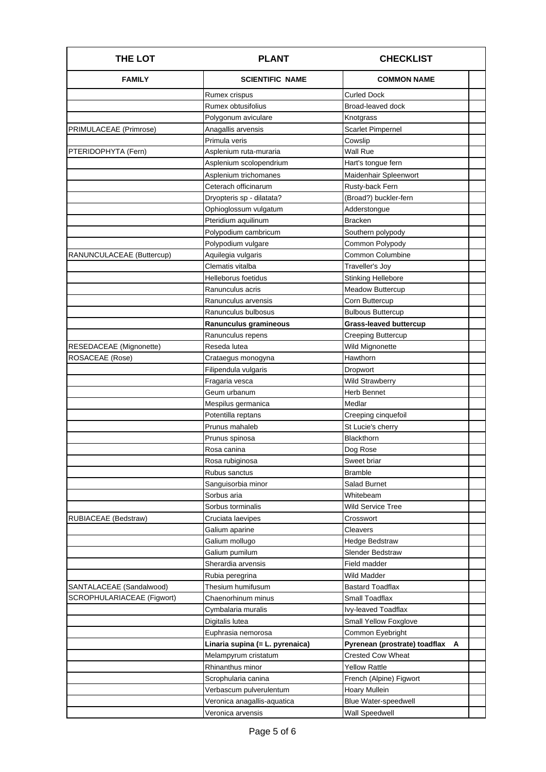| <b>THE LOT</b>             | <b>PLANT</b>                    | <b>CHECKLIST</b>                   |
|----------------------------|---------------------------------|------------------------------------|
| <b>FAMILY</b>              | <b>SCIENTIFIC NAME</b>          | <b>COMMON NAME</b>                 |
|                            | Rumex crispus                   | Curled Dock                        |
|                            | Rumex obtusifolius              | Broad-leaved dock                  |
|                            | Polygonum aviculare             | Knotgrass                          |
| PRIMULACEAE (Primrose)     | Anagallis arvensis              | Scarlet Pimpernel                  |
|                            | Primula veris                   | Cowslip                            |
| PTERIDOPHYTA (Fern)        | Asplenium ruta-muraria          | Wall Rue                           |
|                            | Asplenium scolopendrium         | Hart's tongue fern                 |
|                            | Asplenium trichomanes           | Maidenhair Spleenwort              |
|                            | Ceterach officinarum            | Rusty-back Fern                    |
|                            | Dryopteris sp - dilatata?       | (Broad?) buckler-fern              |
|                            | Ophioglossum vulgatum           | Adderstongue                       |
|                            | Pteridium aquilinum             | Bracken                            |
|                            | Polypodium cambricum            | Southern polypody                  |
|                            | Polypodium vulgare              | Common Polypody                    |
| RANUNCULACEAE (Buttercup)  | Aquilegia vulgaris              | <b>Common Columbine</b>            |
|                            | Clematis vitalba                | Traveller's Joy                    |
|                            | Helleborus foetidus             | <b>Stinking Hellebore</b>          |
|                            | Ranunculus acris                | <b>Meadow Buttercup</b>            |
|                            | Ranunculus arvensis             | Corn Buttercup                     |
|                            | Ranunculus bulbosus             | <b>Bulbous Buttercup</b>           |
|                            | Ranunculus gramineous           | <b>Grass-leaved buttercup</b>      |
|                            | Ranunculus repens               | Creeping Buttercup                 |
| RESEDACEAE (Mignonette)    | Reseda lutea                    | Wild Mignonette                    |
| ROSACEAE (Rose)            | Crataegus monogyna              | Hawthorn                           |
|                            | Filipendula vulgaris            | Dropwort                           |
|                            | Fragaria vesca                  | <b>Wild Strawberry</b>             |
|                            | Geum urbanum                    | Herb Bennet                        |
|                            | Mespilus germanica              | Medlar                             |
|                            | Potentilla reptans              | Creeping cinquefoil                |
|                            | Prunus mahaleb                  | St Lucie's cherry                  |
|                            | Prunus spinosa                  | <b>Blackthorn</b>                  |
|                            | Rosa canina                     | Dog Rose                           |
|                            | Rosa rubiginosa                 | Sweet briar                        |
|                            | Rubus sanctus                   | Bramble                            |
|                            | Sanguisorbia minor              | Salad Burnet                       |
|                            | Sorbus aria                     | Whitebeam                          |
|                            | Sorbus torminalis               | Wild Service Tree                  |
| RUBIACEAE (Bedstraw)       | Cruciata laevipes               | Crosswort                          |
|                            | Galium aparine                  | Cleavers                           |
|                            | Galium mollugo                  | Hedge Bedstraw                     |
|                            | Galium pumilum                  | <b>Slender Bedstraw</b>            |
|                            | Sherardia arvensis              | Field madder                       |
|                            | Rubia peregrina                 | Wild Madder                        |
| SANTALACEAE (Sandalwood)   | Thesium humifusum               | <b>Bastard Toadflax</b>            |
| SCROPHULARIACEAE (Figwort) | Chaenorhinum minus              | Small Toadflax                     |
|                            | Cymbalaria muralis              | Ivy-leaved Toadflax                |
|                            | Digitalis lutea                 | <b>Small Yellow Foxglove</b>       |
|                            | Euphrasia nemorosa              | Common Eyebright                   |
|                            | Linaria supina (= L. pyrenaica) | Pyrenean (prostrate) toadflax<br>A |
|                            | Melampyrum cristatum            | Crested Cow Wheat                  |
|                            | Rhinanthus minor                | <b>Yellow Rattle</b>               |
|                            | Scrophularia canina             | French (Alpine) Figwort            |
|                            | Verbascum pulverulentum         | Hoary Mullein                      |
|                            | Veronica anagallis-aquatica     | <b>Blue Water-speedwell</b>        |
|                            | Veronica arvensis               | <b>Wall Speedwell</b>              |